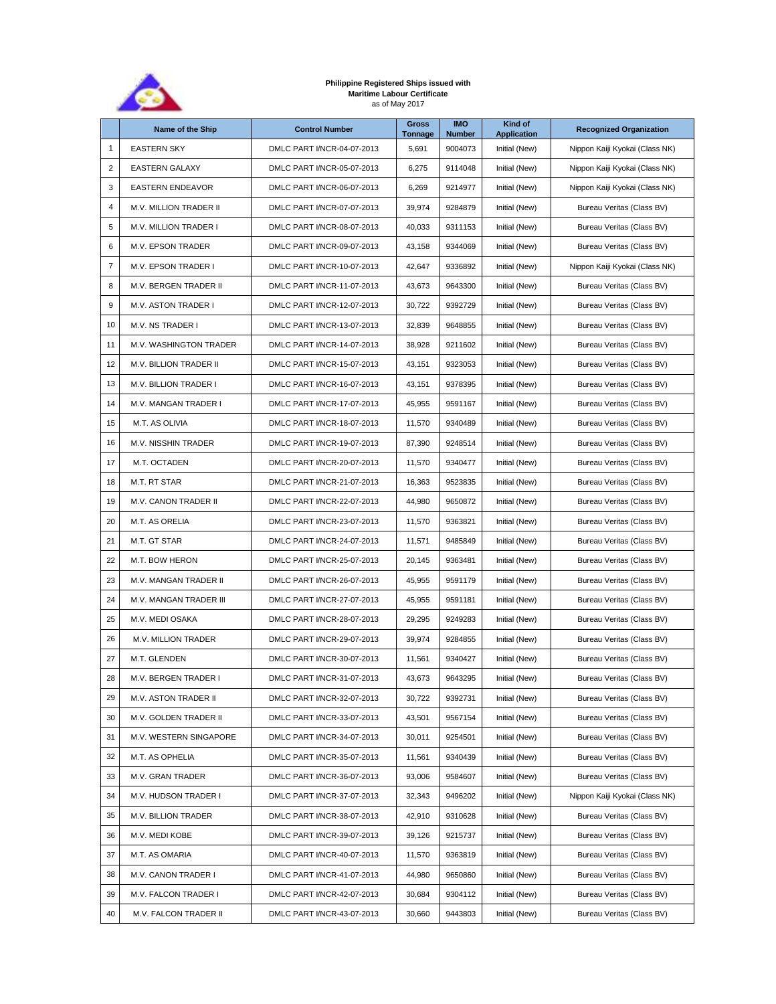

## **Philippine Registered Ships issued with Maritime Labour Certificate** as of May 2017

|                  | Name of the Ship              | <b>Control Number</b>      | <b>Gross</b><br>Tonnage | <b>IMO</b><br><b>Number</b> | Kind of<br><b>Application</b> | <b>Recognized Organization</b> |
|------------------|-------------------------------|----------------------------|-------------------------|-----------------------------|-------------------------------|--------------------------------|
| 1                | <b>EASTERN SKY</b>            | DMLC PART I/NCR-04-07-2013 | 5,691                   | 9004073                     | Initial (New)                 | Nippon Kaiji Kyokai (Class NK) |
| $\sqrt{2}$       | <b>EASTERN GALAXY</b>         | DMLC PART I/NCR-05-07-2013 | 6,275                   | 9114048                     | Initial (New)                 | Nippon Kaiji Kyokai (Class NK) |
| 3                | <b>EASTERN ENDEAVOR</b>       | DMLC PART I/NCR-06-07-2013 | 6,269                   | 9214977                     | Initial (New)                 | Nippon Kaiji Kyokai (Class NK) |
| 4                | <b>M.V. MILLION TRADER II</b> | DMLC PART I/NCR-07-07-2013 | 39,974                  | 9284879                     | Initial (New)                 | Bureau Veritas (Class BV)      |
| 5                | M.V. MILLION TRADER I         | DMLC PART I/NCR-08-07-2013 | 40,033                  | 9311153                     | Initial (New)                 | Bureau Veritas (Class BV)      |
| 6                | <b>M.V. EPSON TRADER</b>      | DMLC PART I/NCR-09-07-2013 | 43,158                  | 9344069                     | Initial (New)                 | Bureau Veritas (Class BV)      |
| $\boldsymbol{7}$ | M.V. EPSON TRADER I           | DMLC PART I/NCR-10-07-2013 | 42,647                  | 9336892                     | Initial (New)                 | Nippon Kaiji Kyokai (Class NK) |
| 8                | M.V. BERGEN TRADER II         | DMLC PART I/NCR-11-07-2013 | 43,673                  | 9643300                     | Initial (New)                 | Bureau Veritas (Class BV)      |
| 9                | M.V. ASTON TRADER I           | DMLC PART I/NCR-12-07-2013 | 30,722                  | 9392729                     | Initial (New)                 | Bureau Veritas (Class BV)      |
| 10               | M.V. NS TRADER I              | DMLC PART I/NCR-13-07-2013 | 32,839                  | 9648855                     | Initial (New)                 | Bureau Veritas (Class BV)      |
| 11               | M.V. WASHINGTON TRADER        | DMLC PART I/NCR-14-07-2013 | 38,928                  | 9211602                     | Initial (New)                 | Bureau Veritas (Class BV)      |
| 12               | M.V. BILLION TRADER II        | DMLC PART I/NCR-15-07-2013 | 43,151                  | 9323053                     | Initial (New)                 | Bureau Veritas (Class BV)      |
| 13               | <b>M.V. BILLION TRADER I</b>  | DMLC PART I/NCR-16-07-2013 | 43,151                  | 9378395                     | Initial (New)                 | Bureau Veritas (Class BV)      |
| 14               | M.V. MANGAN TRADER I          | DMLC PART I/NCR-17-07-2013 | 45,955                  | 9591167                     | Initial (New)                 | Bureau Veritas (Class BV)      |
| 15               | M.T. AS OLIVIA                | DMLC PART I/NCR-18-07-2013 | 11,570                  | 9340489                     | Initial (New)                 | Bureau Veritas (Class BV)      |
| 16               | M.V. NISSHIN TRADER           | DMLC PART I/NCR-19-07-2013 | 87,390                  | 9248514                     | Initial (New)                 | Bureau Veritas (Class BV)      |
| 17               | M.T. OCTADEN                  | DMLC PART I/NCR-20-07-2013 | 11,570                  | 9340477                     | Initial (New)                 | Bureau Veritas (Class BV)      |
| 18               | M.T. RT STAR                  | DMLC PART I/NCR-21-07-2013 | 16,363                  | 9523835                     | Initial (New)                 | Bureau Veritas (Class BV)      |
| 19               | <b>M.V. CANON TRADER II</b>   | DMLC PART I/NCR-22-07-2013 | 44,980                  | 9650872                     | Initial (New)                 | Bureau Veritas (Class BV)      |
| 20               | M.T. AS ORELIA                | DMLC PART I/NCR-23-07-2013 | 11,570                  | 9363821                     | Initial (New)                 | Bureau Veritas (Class BV)      |
| 21               | M.T. GT STAR                  | DMLC PART I/NCR-24-07-2013 | 11,571                  | 9485849                     | Initial (New)                 | Bureau Veritas (Class BV)      |
| 22               | M.T. BOW HERON                | DMLC PART I/NCR-25-07-2013 | 20,145                  | 9363481                     | Initial (New)                 | Bureau Veritas (Class BV)      |
| 23               | M.V. MANGAN TRADER II         | DMLC PART I/NCR-26-07-2013 | 45,955                  | 9591179                     | Initial (New)                 | Bureau Veritas (Class BV)      |
| 24               | M.V. MANGAN TRADER III        | DMLC PART I/NCR-27-07-2013 | 45,955                  | 9591181                     | Initial (New)                 | Bureau Veritas (Class BV)      |
| 25               | M.V. MEDI OSAKA               | DMLC PART I/NCR-28-07-2013 | 29.295                  | 9249283                     | Initial (New)                 | Bureau Veritas (Class BV)      |
| 26               | M.V. MILLION TRADER           | DMLC PART I/NCR-29-07-2013 | 39,974                  | 9284855                     | Initial (New)                 | Bureau Veritas (Class BV)      |
| 27               | M.T. GLENDEN                  | DMLC PART I/NCR-30-07-2013 | 11,561                  | 9340427                     | Initial (New)                 | Bureau Veritas (Class BV)      |
| 28               | <b>M.V. BERGEN TRADER I</b>   | DMLC PART I/NCR-31-07-2013 | 43.673                  | 9643295                     | Initial (New)                 | Bureau Veritas (Class BV)      |
| 29               | M.V. ASTON TRADER II          | DMLC PART I/NCR-32-07-2013 | 30,722                  | 9392731                     | Initial (New)                 | Bureau Veritas (Class BV)      |
| 30               | M.V. GOLDEN TRADER II         | DMLC PART I/NCR-33-07-2013 | 43,501                  | 9567154                     | Initial (New)                 | Bureau Veritas (Class BV)      |
| 31               | M.V. WESTERN SINGAPORE        | DMLC PART I/NCR-34-07-2013 | 30,011                  | 9254501                     | Initial (New)                 | Bureau Veritas (Class BV)      |
| 32               | M.T. AS OPHELIA               | DMLC PART I/NCR-35-07-2013 | 11,561                  | 9340439                     | Initial (New)                 | Bureau Veritas (Class BV)      |
| 33               | M.V. GRAN TRADER              | DMLC PART I/NCR-36-07-2013 | 93,006                  | 9584607                     | Initial (New)                 | Bureau Veritas (Class BV)      |
| 34               | M.V. HUDSON TRADER I          | DMLC PART I/NCR-37-07-2013 | 32,343                  | 9496202                     | Initial (New)                 | Nippon Kaiji Kyokai (Class NK) |
| 35               | M.V. BILLION TRADER           | DMLC PART I/NCR-38-07-2013 | 42,910                  | 9310628                     | Initial (New)                 | Bureau Veritas (Class BV)      |
| 36               | M.V. MEDI KOBE                | DMLC PART I/NCR-39-07-2013 | 39,126                  | 9215737                     | Initial (New)                 | Bureau Veritas (Class BV)      |
| 37               | M.T. AS OMARIA                | DMLC PART I/NCR-40-07-2013 | 11,570                  | 9363819                     | Initial (New)                 | Bureau Veritas (Class BV)      |
| 38               | M.V. CANON TRADER I           | DMLC PART I/NCR-41-07-2013 | 44,980                  | 9650860                     | Initial (New)                 | Bureau Veritas (Class BV)      |
| 39               | M.V. FALCON TRADER I          | DMLC PART I/NCR-42-07-2013 | 30,684                  | 9304112                     | Initial (New)                 | Bureau Veritas (Class BV)      |
| 40               | M.V. FALCON TRADER II         | DMLC PART I/NCR-43-07-2013 | 30,660                  | 9443803                     | Initial (New)                 | Bureau Veritas (Class BV)      |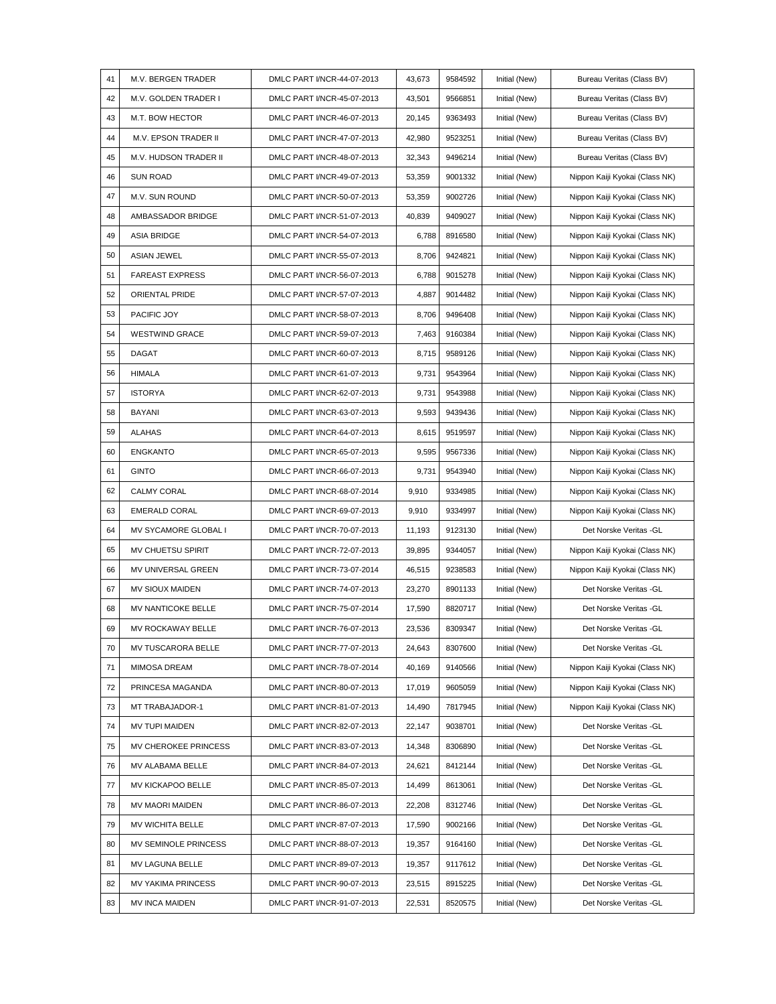| 41 | M.V. BERGEN TRADER        | DMLC PART I/NCR-44-07-2013 | 43,673 | 9584592 | Initial (New) | Bureau Veritas (Class BV)      |
|----|---------------------------|----------------------------|--------|---------|---------------|--------------------------------|
| 42 | M.V. GOLDEN TRADER I      | DMLC PART I/NCR-45-07-2013 | 43,501 | 9566851 | Initial (New) | Bureau Veritas (Class BV)      |
| 43 | M.T. BOW HECTOR           | DMLC PART I/NCR-46-07-2013 | 20,145 | 9363493 | Initial (New) | Bureau Veritas (Class BV)      |
| 44 | M.V. EPSON TRADER II      | DMLC PART I/NCR-47-07-2013 | 42,980 | 9523251 | Initial (New) | Bureau Veritas (Class BV)      |
| 45 | M.V. HUDSON TRADER II     | DMLC PART I/NCR-48-07-2013 | 32,343 | 9496214 | Initial (New) | Bureau Veritas (Class BV)      |
| 46 | <b>SUN ROAD</b>           | DMLC PART I/NCR-49-07-2013 | 53,359 | 9001332 | Initial (New) | Nippon Kaiji Kyokai (Class NK) |
| 47 | M.V. SUN ROUND            | DMLC PART I/NCR-50-07-2013 | 53,359 | 9002726 | Initial (New) | Nippon Kaiji Kyokai (Class NK) |
| 48 | AMBASSADOR BRIDGE         | DMLC PART I/NCR-51-07-2013 | 40,839 | 9409027 | Initial (New) | Nippon Kaiji Kyokai (Class NK) |
| 49 | <b>ASIA BRIDGE</b>        | DMLC PART I/NCR-54-07-2013 | 6,788  | 8916580 | Initial (New) | Nippon Kaiji Kyokai (Class NK) |
| 50 | <b>ASIAN JEWEL</b>        | DMLC PART I/NCR-55-07-2013 | 8,706  | 9424821 | Initial (New) | Nippon Kaiji Kyokai (Class NK) |
| 51 | <b>FAREAST EXPRESS</b>    | DMLC PART I/NCR-56-07-2013 | 6,788  | 9015278 | Initial (New) | Nippon Kaiji Kyokai (Class NK) |
| 52 | ORIENTAL PRIDE            | DMLC PART I/NCR-57-07-2013 | 4,887  | 9014482 | Initial (New) | Nippon Kaiji Kyokai (Class NK) |
| 53 | PACIFIC JOY               | DMLC PART I/NCR-58-07-2013 | 8,706  | 9496408 | Initial (New) | Nippon Kaiji Kyokai (Class NK) |
| 54 | <b>WESTWIND GRACE</b>     | DMLC PART I/NCR-59-07-2013 | 7,463  | 9160384 | Initial (New) | Nippon Kaiji Kyokai (Class NK) |
| 55 | <b>DAGAT</b>              | DMLC PART I/NCR-60-07-2013 | 8,715  | 9589126 | Initial (New) | Nippon Kaiji Kyokai (Class NK) |
| 56 | HIMALA                    | DMLC PART I/NCR-61-07-2013 | 9,731  | 9543964 | Initial (New) | Nippon Kaiji Kyokai (Class NK) |
| 57 | <b>ISTORYA</b>            | DMLC PART I/NCR-62-07-2013 | 9,731  | 9543988 | Initial (New) | Nippon Kaiji Kyokai (Class NK) |
| 58 | <b>BAYANI</b>             | DMLC PART I/NCR-63-07-2013 | 9,593  | 9439436 | Initial (New) | Nippon Kaiji Kyokai (Class NK) |
| 59 | <b>ALAHAS</b>             | DMLC PART I/NCR-64-07-2013 | 8,615  | 9519597 | Initial (New) | Nippon Kaiji Kyokai (Class NK) |
| 60 | <b>ENGKANTO</b>           | DMLC PART I/NCR-65-07-2013 | 9,595  | 9567336 | Initial (New) | Nippon Kaiji Kyokai (Class NK) |
| 61 | <b>GINTO</b>              | DMLC PART I/NCR-66-07-2013 | 9,731  | 9543940 | Initial (New) | Nippon Kaiji Kyokai (Class NK) |
| 62 | CALMY CORAL               | DMLC PART I/NCR-68-07-2014 | 9,910  | 9334985 | Initial (New) | Nippon Kaiji Kyokai (Class NK) |
| 63 | <b>EMERALD CORAL</b>      | DMLC PART I/NCR-69-07-2013 | 9,910  | 9334997 | Initial (New) | Nippon Kaiji Kyokai (Class NK) |
| 64 | MV SYCAMORE GLOBAL I      | DMLC PART I/NCR-70-07-2013 | 11,193 | 9123130 | Initial (New) | Det Norske Veritas -GL         |
| 65 | MV CHUETSU SPIRIT         | DMLC PART I/NCR-72-07-2013 | 39,895 | 9344057 | Initial (New) | Nippon Kaiji Kyokai (Class NK) |
| 66 | MV UNIVERSAL GREEN        | DMLC PART I/NCR-73-07-2014 | 46,515 | 9238583 | Initial (New) | Nippon Kaiji Kyokai (Class NK) |
| 67 | MV SIOUX MAIDEN           | DMLC PART I/NCR-74-07-2013 | 23,270 | 8901133 | Initial (New) | Det Norske Veritas -GL         |
| 68 | MV NANTICOKE BELLE        | DMLC PART I/NCR-75-07-2014 | 17,590 | 8820717 | Initial (New) | Det Norske Veritas -GL         |
| 69 | MV ROCKAWAY BELLE         | DMLC PART I/NCR-76-07-2013 | 23,536 | 8309347 | Initial (New) | Det Norske Veritas -GL         |
| 70 | MV TUSCARORA BELLE        | DMLC PART I/NCR-77-07-2013 | 24,643 | 8307600 | Initial (New) | Det Norske Veritas - GL        |
| 71 | MIMOSA DREAM              | DMLC PART I/NCR-78-07-2014 | 40,169 | 9140566 | Initial (New) | Nippon Kaiji Kyokai (Class NK) |
| 72 | PRINCESA MAGANDA          | DMLC PART I/NCR-80-07-2013 | 17,019 | 9605059 | Initial (New) | Nippon Kaiji Kyokai (Class NK) |
| 73 | MT TRABAJADOR-1           | DMLC PART I/NCR-81-07-2013 | 14,490 | 7817945 | Initial (New) | Nippon Kaiji Kyokai (Class NK) |
| 74 | MV TUPI MAIDEN            | DMLC PART I/NCR-82-07-2013 | 22,147 | 9038701 | Initial (New) | Det Norske Veritas - GL        |
| 75 | MV CHEROKEE PRINCESS      | DMLC PART I/NCR-83-07-2013 | 14,348 | 8306890 | Initial (New) | Det Norske Veritas - GL        |
| 76 | MV ALABAMA BELLE          | DMLC PART I/NCR-84-07-2013 | 24,621 | 8412144 | Initial (New) | Det Norske Veritas - GL        |
| 77 | MV KICKAPOO BELLE         | DMLC PART I/NCR-85-07-2013 | 14,499 | 8613061 | Initial (New) | Det Norske Veritas -GL         |
| 78 | MV MAORI MAIDEN           | DMLC PART I/NCR-86-07-2013 | 22,208 | 8312746 | Initial (New) | Det Norske Veritas - GL        |
| 79 | MV WICHITA BELLE          | DMLC PART I/NCR-87-07-2013 | 17,590 | 9002166 | Initial (New) | Det Norske Veritas - GL        |
| 80 | MV SEMINOLE PRINCESS      | DMLC PART I/NCR-88-07-2013 | 19,357 | 9164160 | Initial (New) | Det Norske Veritas -GL         |
| 81 | MV LAGUNA BELLE           | DMLC PART I/NCR-89-07-2013 | 19,357 | 9117612 | Initial (New) | Det Norske Veritas - GL        |
| 82 | <b>MV YAKIMA PRINCESS</b> | DMLC PART I/NCR-90-07-2013 | 23,515 | 8915225 | Initial (New) | Det Norske Veritas - GL        |
| 83 | <b>MV INCA MAIDEN</b>     | DMLC PART I/NCR-91-07-2013 | 22,531 | 8520575 | Initial (New) | Det Norske Veritas -GL         |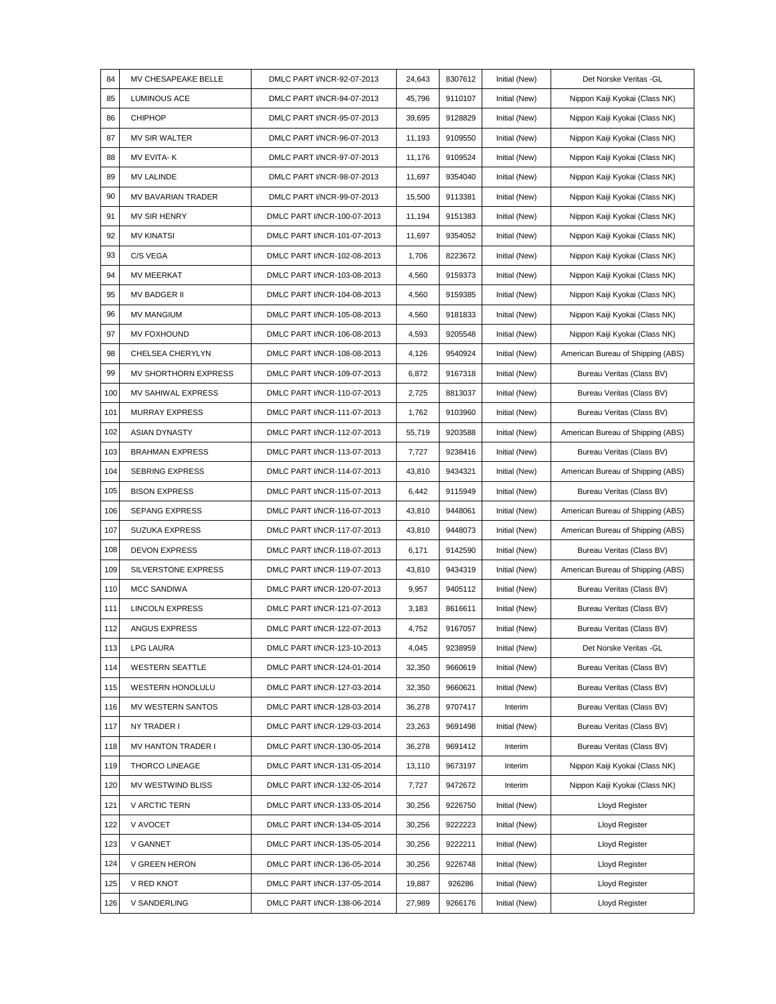| 84  | MV CHESAPEAKE BELLE       | DMLC PART I/NCR-92-07-2013  | 24,643 | 8307612 | Initial (New) | Det Norske Veritas -GL            |
|-----|---------------------------|-----------------------------|--------|---------|---------------|-----------------------------------|
| 85  | <b>LUMINOUS ACE</b>       | DMLC PART I/NCR-94-07-2013  | 45,796 | 9110107 | Initial (New) | Nippon Kaiji Kyokai (Class NK)    |
| 86  | <b>CHIPHOP</b>            | DMLC PART I/NCR-95-07-2013  | 39,695 | 9128829 | Initial (New) | Nippon Kaiji Kyokai (Class NK)    |
| 87  | MV SIR WALTER             | DMLC PART I/NCR-96-07-2013  | 11,193 | 9109550 | Initial (New) | Nippon Kaiji Kyokai (Class NK)    |
| 88  | MV EVITA-K                | DMLC PART I/NCR-97-07-2013  | 11,176 | 9109524 | Initial (New) | Nippon Kaiji Kyokai (Class NK)    |
| 89  | <b>MV LALINDE</b>         | DMLC PART I/NCR-98-07-2013  | 11,697 | 9354040 | Initial (New) | Nippon Kaiji Kyokai (Class NK)    |
| 90  | MV BAVARIAN TRADER        | DMLC PART I/NCR-99-07-2013  | 15,500 | 9113381 | Initial (New) | Nippon Kaiji Kyokai (Class NK)    |
| 91  | MV SIR HENRY              | DMLC PART I/NCR-100-07-2013 | 11,194 | 9151383 | Initial (New) | Nippon Kaiji Kyokai (Class NK)    |
| 92  | <b>MV KINATSI</b>         | DMLC PART I/NCR-101-07-2013 | 11,697 | 9354052 | Initial (New) | Nippon Kaiji Kyokai (Class NK)    |
| 93  | C/S VEGA                  | DMLC PART I/NCR-102-08-2013 | 1,706  | 8223672 | Initial (New) | Nippon Kaiji Kyokai (Class NK)    |
| 94  | <b>MV MEERKAT</b>         | DMLC PART I/NCR-103-08-2013 | 4,560  | 9159373 | Initial (New) | Nippon Kaiji Kyokai (Class NK)    |
| 95  | <b>MV BADGER II</b>       | DMLC PART I/NCR-104-08-2013 | 4,560  | 9159385 | Initial (New) | Nippon Kaiji Kyokai (Class NK)    |
| 96  | <b>MV MANGIUM</b>         | DMLC PART I/NCR-105-08-2013 | 4,560  | 9181833 | Initial (New) | Nippon Kaiji Kyokai (Class NK)    |
| 97  | <b>MV FOXHOUND</b>        | DMLC PART I/NCR-106-08-2013 | 4,593  | 9205548 | Initial (New) | Nippon Kaiji Kyokai (Class NK)    |
| 98  | <b>CHELSEA CHERYLYN</b>   | DMLC PART I/NCR-108-08-2013 | 4,126  | 9540924 | Initial (New) | American Bureau of Shipping (ABS) |
| 99  | MV SHORTHORN EXPRESS      | DMLC PART I/NCR-109-07-2013 | 6,872  | 9167318 | Initial (New) | Bureau Veritas (Class BV)         |
| 100 | <b>MV SAHIWAL EXPRESS</b> | DMLC PART I/NCR-110-07-2013 | 2,725  | 8813037 | Initial (New) | Bureau Veritas (Class BV)         |
| 101 | <b>MURRAY EXPRESS</b>     | DMLC PART I/NCR-111-07-2013 | 1,762  | 9103960 | Initial (New) | Bureau Veritas (Class BV)         |
| 102 | ASIAN DYNASTY             | DMLC PART I/NCR-112-07-2013 | 55,719 | 9203588 | Initial (New) | American Bureau of Shipping (ABS) |
| 103 | <b>BRAHMAN EXPRESS</b>    | DMLC PART I/NCR-113-07-2013 | 7,727  | 9238416 | Initial (New) | Bureau Veritas (Class BV)         |
| 104 | <b>SEBRING EXPRESS</b>    | DMLC PART I/NCR-114-07-2013 | 43,810 | 9434321 | Initial (New) | American Bureau of Shipping (ABS) |
| 105 | <b>BISON EXPRESS</b>      | DMLC PART I/NCR-115-07-2013 | 6,442  | 9115949 | Initial (New) | Bureau Veritas (Class BV)         |
| 106 | SEPANG EXPRESS            | DMLC PART I/NCR-116-07-2013 | 43,810 | 9448061 | Initial (New) | American Bureau of Shipping (ABS) |
| 107 | <b>SUZUKA EXPRESS</b>     | DMLC PART I/NCR-117-07-2013 | 43,810 | 9448073 | Initial (New) | American Bureau of Shipping (ABS) |
| 108 | <b>DEVON EXPRESS</b>      | DMLC PART I/NCR-118-07-2013 | 6,171  | 9142590 | Initial (New) | Bureau Veritas (Class BV)         |
| 109 | SILVERSTONE EXPRESS       | DMLC PART I/NCR-119-07-2013 | 43,810 | 9434319 | Initial (New) | American Bureau of Shipping (ABS) |
| 110 | <b>MCC SANDIWA</b>        | DMLC PART I/NCR-120-07-2013 | 9,957  | 9405112 | Initial (New) | Bureau Veritas (Class BV)         |
| 111 | <b>LINCOLN EXPRESS</b>    | DMLC PART I/NCR-121-07-2013 | 3,183  | 8616611 | Initial (New) | Bureau Veritas (Class BV)         |
| 112 | ANGUS EXPRESS             | DMLC PART I/NCR-122-07-2013 | 4,752  | 9167057 | Initial (New) | Bureau Veritas (Class BV)         |
| 113 | <b>LPG LAURA</b>          | DMLC PART I/NCR-123-10-2013 | 4,045  | 9238959 | Initial (New) | Det Norske Veritas - GL           |
| 114 | <b>WESTERN SEATTLE</b>    | DMLC PART I/NCR-124-01-2014 | 32,350 | 9660619 | Initial (New) | Bureau Veritas (Class BV)         |
| 115 | <b>WESTERN HONOLULU</b>   | DMLC PART I/NCR-127-03-2014 | 32,350 | 9660621 | Initial (New) | Bureau Veritas (Class BV)         |
| 116 | MV WESTERN SANTOS         | DMLC PART I/NCR-128-03-2014 | 36,278 | 9707417 | Interim       | Bureau Veritas (Class BV)         |
| 117 | NY TRADER I               | DMLC PART I/NCR-129-03-2014 | 23,263 | 9691498 | Initial (New) | Bureau Veritas (Class BV)         |
| 118 | MV HANTON TRADER I        | DMLC PART I/NCR-130-05-2014 | 36,278 | 9691412 | Interim       | Bureau Veritas (Class BV)         |
| 119 | <b>THORCO LINEAGE</b>     | DMLC PART I/NCR-131-05-2014 | 13,110 | 9673197 | Interim       | Nippon Kaiji Kyokai (Class NK)    |
| 120 | MV WESTWIND BLISS         | DMLC PART I/NCR-132-05-2014 | 7,727  | 9472672 | Interim       | Nippon Kaiji Kyokai (Class NK)    |
| 121 | V ARCTIC TERN             | DMLC PART I/NCR-133-05-2014 | 30,256 | 9226750 | Initial (New) | Lloyd Register                    |
| 122 | V AVOCET                  | DMLC PART I/NCR-134-05-2014 | 30,256 | 9222223 | Initial (New) | <b>Lloyd Register</b>             |
| 123 | V GANNET                  | DMLC PART I/NCR-135-05-2014 | 30,256 | 9222211 | Initial (New) | Lloyd Register                    |
| 124 | <b>V GREEN HERON</b>      | DMLC PART I/NCR-136-05-2014 | 30,256 | 9226748 | Initial (New) | <b>Lloyd Register</b>             |
| 125 | V RED KNOT                | DMLC PART I/NCR-137-05-2014 | 19,887 | 926286  | Initial (New) | <b>Lloyd Register</b>             |
| 126 | V SANDERLING              | DMLC PART I/NCR-138-06-2014 | 27,989 | 9266176 | Initial (New) | <b>Lloyd Register</b>             |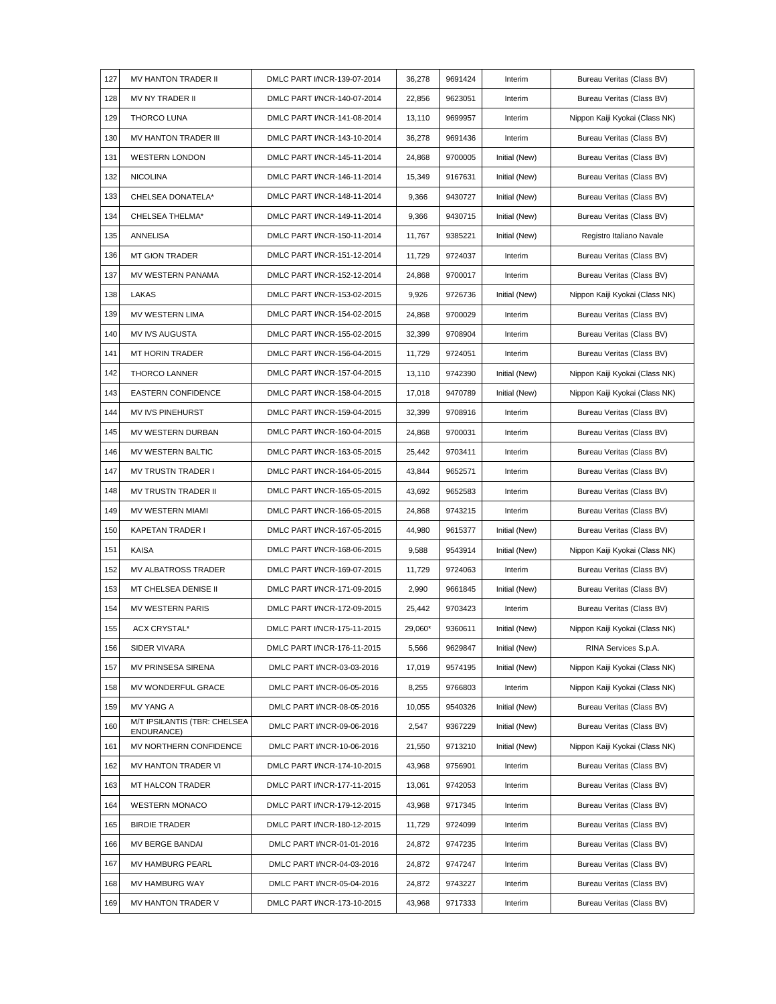| 127 | MV HANTON TRADER II                        | DMLC PART I/NCR-139-07-2014 | 36,278  | 9691424 | Interim       | Bureau Veritas (Class BV)      |
|-----|--------------------------------------------|-----------------------------|---------|---------|---------------|--------------------------------|
| 128 | MV NY TRADER II                            | DMLC PART I/NCR-140-07-2014 | 22,856  | 9623051 | Interim       | Bureau Veritas (Class BV)      |
| 129 | <b>THORCO LUNA</b>                         | DMLC PART I/NCR-141-08-2014 | 13,110  | 9699957 | Interim       | Nippon Kaiji Kyokai (Class NK) |
| 130 | MV HANTON TRADER III                       | DMLC PART I/NCR-143-10-2014 | 36,278  | 9691436 | Interim       | Bureau Veritas (Class BV)      |
| 131 | <b>WESTERN LONDON</b>                      | DMLC PART I/NCR-145-11-2014 | 24,868  | 9700005 | Initial (New) | Bureau Veritas (Class BV)      |
| 132 | <b>NICOLINA</b>                            | DMLC PART I/NCR-146-11-2014 | 15,349  | 9167631 | Initial (New) | Bureau Veritas (Class BV)      |
| 133 | CHELSEA DONATELA*                          | DMLC PART I/NCR-148-11-2014 | 9,366   | 9430727 | Initial (New) | Bureau Veritas (Class BV)      |
| 134 | CHELSEA THELMA*                            | DMLC PART I/NCR-149-11-2014 | 9,366   | 9430715 | Initial (New) | Bureau Veritas (Class BV)      |
| 135 | ANNELISA                                   | DMLC PART I/NCR-150-11-2014 | 11,767  | 9385221 | Initial (New) | Registro Italiano Navale       |
| 136 | <b>MT GION TRADER</b>                      | DMLC PART I/NCR-151-12-2014 | 11,729  | 9724037 | Interim       | Bureau Veritas (Class BV)      |
| 137 | MV WESTERN PANAMA                          | DMLC PART I/NCR-152-12-2014 | 24,868  | 9700017 | Interim       | Bureau Veritas (Class BV)      |
| 138 | LAKAS                                      | DMLC PART I/NCR-153-02-2015 | 9,926   | 9726736 | Initial (New) | Nippon Kaiji Kyokai (Class NK) |
| 139 | MV WESTERN LIMA                            | DMLC PART I/NCR-154-02-2015 | 24,868  | 9700029 | Interim       | Bureau Veritas (Class BV)      |
| 140 | MV IVS AUGUSTA                             | DMLC PART I/NCR-155-02-2015 | 32,399  | 9708904 | Interim       | Bureau Veritas (Class BV)      |
| 141 | MT HORIN TRADER                            | DMLC PART I/NCR-156-04-2015 | 11,729  | 9724051 | Interim       | Bureau Veritas (Class BV)      |
| 142 | THORCO LANNER                              | DMLC PART I/NCR-157-04-2015 | 13,110  | 9742390 | Initial (New) | Nippon Kaiji Kyokai (Class NK) |
| 143 | <b>EASTERN CONFIDENCE</b>                  | DMLC PART I/NCR-158-04-2015 | 17,018  | 9470789 | Initial (New) | Nippon Kaiji Kyokai (Class NK) |
| 144 | MV IVS PINEHURST                           | DMLC PART I/NCR-159-04-2015 | 32,399  | 9708916 | Interim       | Bureau Veritas (Class BV)      |
| 145 | MV WESTERN DURBAN                          | DMLC PART I/NCR-160-04-2015 | 24,868  | 9700031 | Interim       | Bureau Veritas (Class BV)      |
| 146 | MV WESTERN BALTIC                          | DMLC PART I/NCR-163-05-2015 | 25,442  | 9703411 | Interim       | Bureau Veritas (Class BV)      |
| 147 | <b>MV TRUSTN TRADER I</b>                  | DMLC PART I/NCR-164-05-2015 | 43,844  | 9652571 | Interim       | Bureau Veritas (Class BV)      |
| 148 | <b>MV TRUSTN TRADER II</b>                 | DMLC PART I/NCR-165-05-2015 | 43,692  | 9652583 | Interim       | Bureau Veritas (Class BV)      |
| 149 | MV WESTERN MIAMI                           | DMLC PART I/NCR-166-05-2015 | 24,868  | 9743215 | Interim       | Bureau Veritas (Class BV)      |
| 150 | <b>KAPETAN TRADER I</b>                    | DMLC PART I/NCR-167-05-2015 | 44,980  | 9615377 | Initial (New) | Bureau Veritas (Class BV)      |
| 151 | <b>KAISA</b>                               | DMLC PART I/NCR-168-06-2015 | 9,588   | 9543914 | Initial (New) | Nippon Kaiji Kyokai (Class NK) |
| 152 | <b>MV ALBATROSS TRADER</b>                 | DMLC PART I/NCR-169-07-2015 | 11,729  | 9724063 | Interim       | Bureau Veritas (Class BV)      |
| 153 | MT CHELSEA DENISE II                       | DMLC PART I/NCR-171-09-2015 | 2,990   | 9661845 | Initial (New) | Bureau Veritas (Class BV)      |
| 154 | <b>MV WESTERN PARIS</b>                    | DMLC PART I/NCR-172-09-2015 | 25,442  | 9703423 | Interim       | Bureau Veritas (Class BV)      |
| 155 | ACX CRYSTAL*                               | DMLC PART I/NCR-175-11-2015 | 29,060* | 9360611 | Initial (New) | Nippon Kaiji Kyokai (Class NK) |
| 156 | SIDER VIVARA                               | DMLC PART I/NCR-176-11-2015 | 5,566   | 9629847 | Initial (New) | RINA Services S.p.A.           |
| 157 | MV PRINSESA SIRENA                         | DMLC PART I/NCR-03-03-2016  | 17,019  | 9574195 | Initial (New) | Nippon Kaiji Kyokai (Class NK) |
| 158 | MV WONDERFUL GRACE                         | DMLC PART I/NCR-06-05-2016  | 8,255   | 9766803 | Interim       | Nippon Kaiji Kyokai (Class NK) |
| 159 | MV YANG A                                  | DMLC PART I/NCR-08-05-2016  | 10,055  | 9540326 | Initial (New) | Bureau Veritas (Class BV)      |
| 160 | M/T IPSILANTIS (TBR: CHELSEA<br>ENDURANCE) | DMLC PART I/NCR-09-06-2016  | 2,547   | 9367229 | Initial (New) | Bureau Veritas (Class BV)      |
| 161 | MV NORTHERN CONFIDENCE                     | DMLC PART I/NCR-10-06-2016  | 21,550  | 9713210 | Initial (New) | Nippon Kaiji Kyokai (Class NK) |
| 162 | MV HANTON TRADER VI                        | DMLC PART I/NCR-174-10-2015 | 43,968  | 9756901 | Interim       | Bureau Veritas (Class BV)      |
| 163 | MT HALCON TRADER                           | DMLC PART I/NCR-177-11-2015 | 13,061  | 9742053 | Interim       | Bureau Veritas (Class BV)      |
| 164 | <b>WESTERN MONACO</b>                      | DMLC PART I/NCR-179-12-2015 | 43,968  | 9717345 | Interim       | Bureau Veritas (Class BV)      |
| 165 | <b>BIRDIE TRADER</b>                       | DMLC PART I/NCR-180-12-2015 | 11,729  | 9724099 | Interim       | Bureau Veritas (Class BV)      |
| 166 | MV BERGE BANDAI                            | DMLC PART I/NCR-01-01-2016  | 24,872  | 9747235 | Interim       | Bureau Veritas (Class BV)      |
| 167 | MV HAMBURG PEARL                           | DMLC PART I/NCR-04-03-2016  | 24,872  | 9747247 | Interim       | Bureau Veritas (Class BV)      |
| 168 | MV HAMBURG WAY                             | DMLC PART I/NCR-05-04-2016  | 24,872  | 9743227 | Interim       | Bureau Veritas (Class BV)      |
| 169 | MV HANTON TRADER V                         | DMLC PART I/NCR-173-10-2015 | 43,968  | 9717333 | Interim       | Bureau Veritas (Class BV)      |